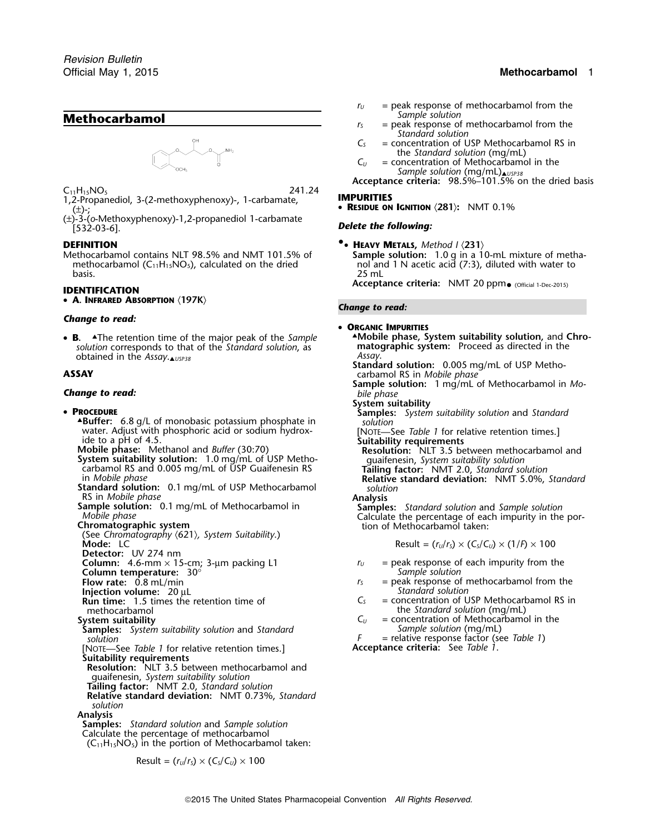# **Methocarbamol** *Sample Solution S*



 $C_{11}H_{15}NO_5$  241.24 1,2-Propanediol, 3-(2-methoxyphenoxy)-, 1-carbamate, **IMPURITIES**

(±)-3-(*o*-Methoxyphenoxy)-1,2-propanediol 1-carbamate *Delete the following:* [532-03-6].

Methocarbamol contains NLT 98.5% and NMT 101.5% of **Sample solution:** 1.0 g in a 10-mL mixture of meth<br>methocarbamol (C<sub>11</sub>H<sub>15</sub>NO<sub>5</sub>), calculated on the dried need not and 1 N acetic acid (7:3), diluted with water to methocarbamol ( $C_{11}H_{15}NO_5$ ), calculated on the dried basis. 25 mL

• **<sup>A</sup>. INFRARED ABSORPTION** 〈**197K**〉 *Change to read:*

### *Change to read:*

• B. *solution* corresponds to that of the *Standard solution*, as **mato** obtained in the *Assay* obtained in the *Assay*.▲ *Assay*. *USP38*

# *Change to read: bile phase*

### • PROCEDURE

- **ABuffer:** 6.8 g/L of monobasic potassium phosphate in water. Adjust with phosphoric acid or sodium hydroxwater. Adjust with phosphoric acid or sodium hydrox-<br>ide to a pH of 4.5.<br>**Mobile phase:** Methanol and *Buffer* (30:70)<br>**Suitability requirements**<br>**Resolution:** NLT 3.5 between methocarbamol and<br>**System suitability solution**
- 
- **System suitability solution:** 1.0 mg/mL of USP Metho- guaifenesin, *System suitability solution* carbamol RS and 0.005 mg/mL of USP Guaifenesin RS **Tailing factor:** NMT 2.0, *Standard solution*
- **Standard solution:** 0.1 mg/mL of USP Methocarbamol *solution*<br>RS in *Mobile phase* **Analysis**
- 
- 

(See *Chromatography* 〈621〉*, System Suitability*.) **Mode:** LC  $\qquad \qquad \text{Result} = (r_U/r_S) \times (C_S/C_U) \times (1/P) \times 100$ 

**Detector:** UV 274 nm

- **Column temperature:**  $30^{\circ}$  **Sample solution** solution of *S S S*
- 
- 
- **Injection volume:**  $20 \mu L$ <br>**Run time:** 1.5 times the retention time of  $C_s$  = concentration of U methocarbamol the *Standard solution* (mg/mL)<br>stem suitability  $C_U$  = concentration of Methocarbamo
- 
- **Samples:** *System suitability solution* and *Standard Solution F*
- [NOTE—See *Table 1* for relative retention times.] **Suitability requirements**
- **Resolution:** NLT 3.5 between methocarbamol and guaifenesin, *System suitability solution*
- **Tailing factor:** NMT 2.0, *Standard solution*
- **Relative standard deviation:** NMT 0.73%, *Standard solution*

### **Analysis**

**Samples:** *Standard solution* and *Sample solution* Calculate the percentage of methocarbamol  $(C_{11}H_{15}NO_5)$  in the portion of Methocarbamol taken:

$$
Result = (rU/rS) \times (CS/CU) \times 100
$$

# Official May 1, 2015 **Methocarbamol** 1

- $r_U$  = peak response of methocarbamol from the *Sample solution* 
	- = peak response of methocarbamol from the *Standard solution*
- *C<sup>S</sup>* = concentration of USP Methocarbamol RS in the *Standard solution* (mg/mL)
- $C_U$  = concentration of Methocarbamol in the *Sample solution* (mg/mL)▲*USP38*

**Acceptance criteria:** 98.5%–101.5% on the dried basis

(±)-; • **<sup>R</sup>ESIDUE ON IGNITION** 〈**281**〉**:** NMT 0.1%

- 
- **DEFINITION**<br>Methocarbamol contains NLT 98.5% and NMT 101.5% of **FILE Sample solution:** 1.0 g in a 10-mL mixture of metha-

**Acceptance criteria:** NMT 20 ppm<sub>• (Official 1-Dec-2015) **IDENTIFICATION**</sub>

• **ORGANIC IMPURITIES**

**<sup>B</sup>.** ▲.The retention time of the major peak of the *Sample* ▲**.Mobile phase, System suitability solution,** and **Chro-**

**Standard solution:** 0.005 mg/mL of USP Metho-<br>**ASSAY** carbamol RS in *Mobile phase* 

- **Sample solution:** 1 mg/mL of Methocarbamol in *Mo-*
- **System suitability**
- **Samples:** *System suitability solution* and *Standard* solution

in *Mobile phase* **Relative standard deviation:** NMT 5.0%, *Standard*

RS in Mobile phase<br> **Sample solution:** 0.1 mg/mL of Methocarbamol in<br>
Mobile phase<br>
Mobile phase<br>
Calculate the percentage of each impurity in the por-<br> **Chromatographic system**<br>
Chromatographic system<br>
Chromatographic sys

$$
Result = (r_U/r_S) \times (C_S/C_U) \times (1/F) \times 100
$$

- **Column:** 4.6-mm  $\times$  15-cm; 3-µm packing L1 *r<sub>U</sub>* = peak response of each impurity from the **Column temperature:**  $30^\circ$ 
	- $=$  peak response of methocarbamol from the
	- $R =$  concentration of USP Methocarbamol RS in
- **System suitability**<br>**Samples:** System suitability solution and Standard **C**<sup>U</sup> = concentration of Methocarbamol in the<br>Sample solution (mg/mL)

*F* = relative response factor (see *Table 1*)<br>**Acceptance criteria**: See *Table 1*.